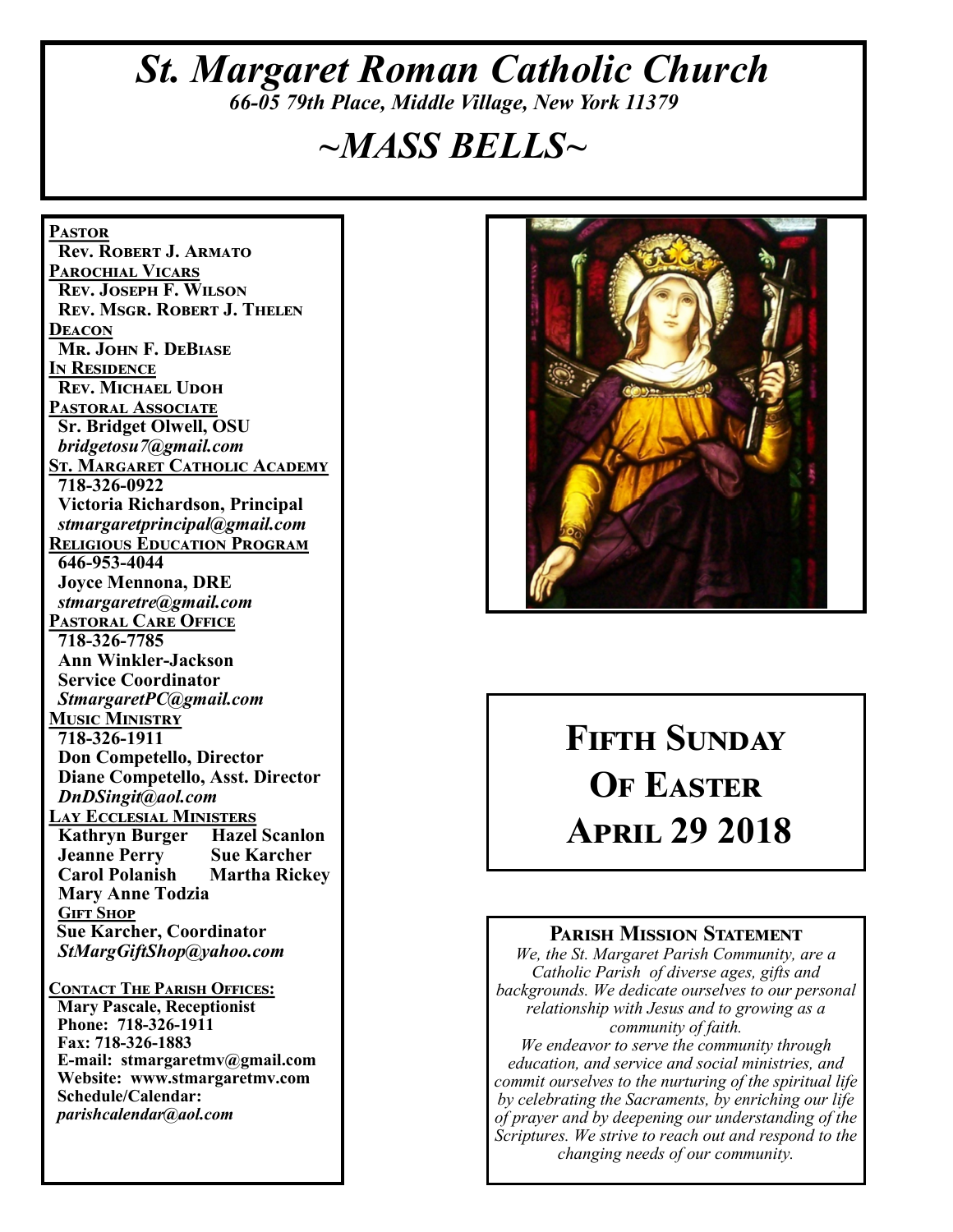# *St. Margaret Roman Catholic Church 66-05 79th Place, Middle Village, New York 11379*

# *~MASS BELLS~*

**Pastor Rev. Robert J. Armato Parochial Vicars Rev. Joseph F. Wilson Rev. Msgr. Robert J. Thelen Deacon Mr. John F. DeBiase In Residence Rev. Michael Udoh Pastoral Associate Sr. Bridget Olwell, OSU**  *bridgetosu7@gmail.com* **St. Margaret Catholic Academy 718-326-0922 Victoria Richardson, Principal**  *stmargaretprincipal@gmail.com* **Religious Education Program 646-953-4044 Joyce Mennona, DRE** *stmargaretre@gmail.com* **Pastoral Care Office 718-326-7785 Ann Winkler-Jackson Service Coordinator** *StmargaretPC@gmail.com* **Music Ministry 718-326-1911 Don Competello, Director Diane Competello, Asst. Director** *DnDSingit@aol.com* **Lay Ecclesial Ministers Kathryn Burger Hazel Scanlon<br>Jeanne Perry Sue Karcher Jeanne Perry Carol Polanish Martha Rickey Mary Anne Todzia Gift Shop Sue Karcher, Coordinator** *StMargGiftShop@yahoo.com* **Contact The Parish Offices: Mary Pascale, Receptionist Phone: 718-326-1911 Fax: 718-326-1883 E-mail: stmargaretmv@gmail.com Website: www.stmargaretmv.com Schedule/Calendar:** *parishcalendar@aol.com* 



# **Fifth Sunday OF EASTER April 29 2018**

#### **Parish Mission Statement**

*We, the St. Margaret Parish Community, are a Catholic Parish of diverse ages, gifts and backgrounds. We dedicate ourselves to our personal relationship with Jesus and to growing as a community of faith.*

*We endeavor to serve the community through education, and service and social ministries, and commit ourselves to the nurturing of the spiritual life by celebrating the Sacraments, by enriching our life of prayer and by deepening our understanding of the Scriptures. We strive to reach out and respond to the changing needs of our community.*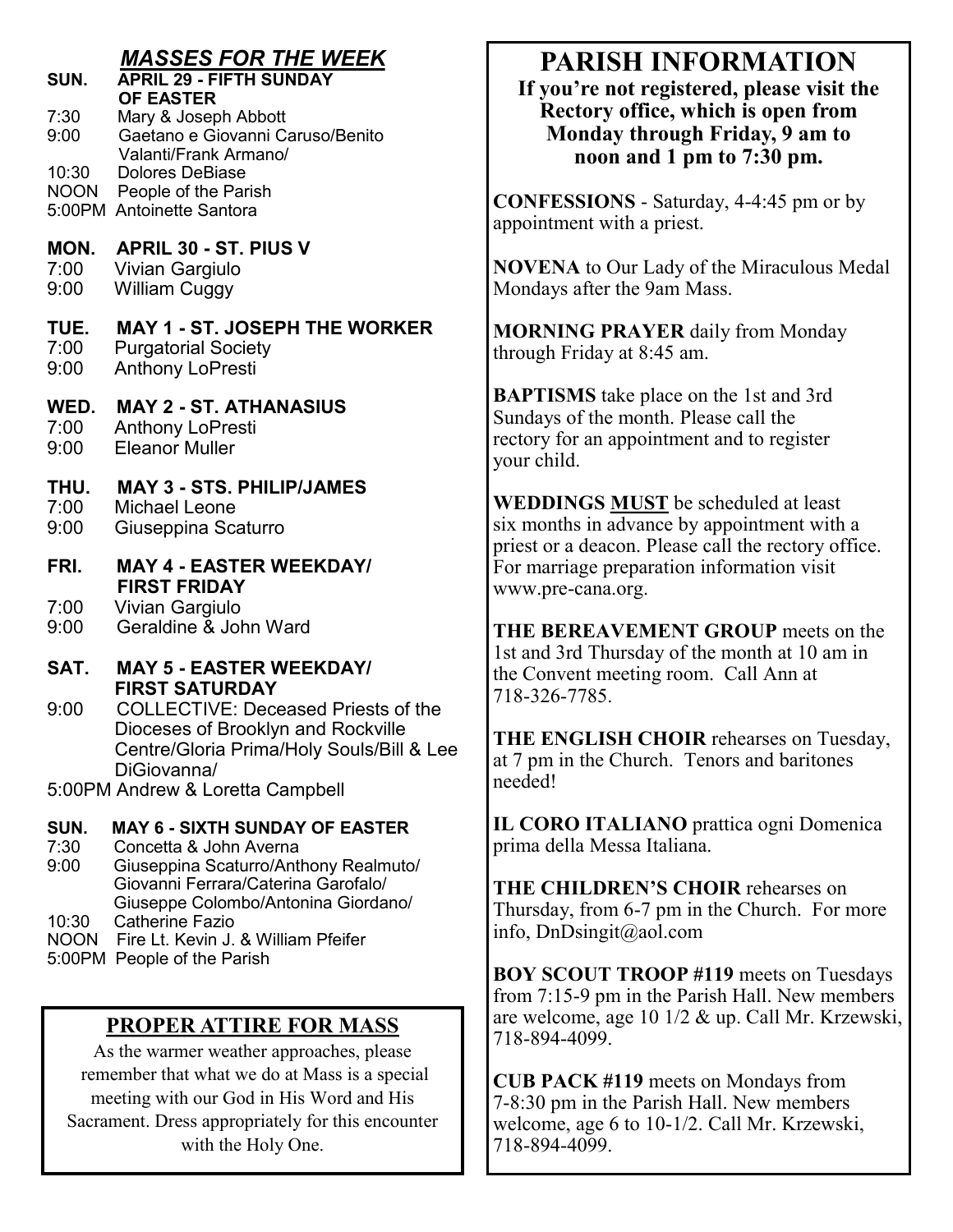|                      | <b>MASSES FOR THE WEEK</b>                                                                                                                   | ${\bf P}$                                    |
|----------------------|----------------------------------------------------------------------------------------------------------------------------------------------|----------------------------------------------|
| SUN.                 | <b>APRIL 29 - FIFTH SUNDAY</b><br><b>OF EASTER</b>                                                                                           | If yo                                        |
| 7:30<br>9:00         | Mary & Joseph Abbott<br>Gaetano e Giovanni Caruso/Benito<br>Valanti/Frank Armano/                                                            | R<br>Ŋ                                       |
| 10:30                | <b>Dolores DeBiase</b><br>NOON People of the Parish<br>5:00PM Antoinette Santora                                                             | <b>CONFI</b><br>appoint                      |
| MON.<br>7:00<br>9:00 | <b>APRIL 30 - ST. PIUS V</b><br>Vivian Gargiulo<br><b>William Cuggy</b>                                                                      | <b>NOVE</b><br>Monday                        |
| TUE.<br>7:00<br>9:00 | <b>MAY 1 - ST. JOSEPH THE WORKER</b><br><b>Purgatorial Society</b><br><b>Anthony LoPresti</b>                                                | <b>MORN</b><br>through                       |
| WED.<br>7:00<br>9:00 | <b>MAY 2 - ST. ATHANASIUS</b><br><b>Anthony LoPresti</b><br><b>Eleanor Muller</b>                                                            | <b>BAPTI</b><br>Sunday<br>rectory<br>your ch |
| THU.<br>7:00<br>9:00 | <b>MAY 3 - STS. PHILIP/JAMES</b><br><b>Michael Leone</b><br>Giuseppina Scaturro                                                              | <b>WEDD</b><br>six mor                       |
| FRI.                 | <b>MAY 4 - EASTER WEEKDAY/</b><br><b>FIRST FRIDAY</b>                                                                                        | priest of<br>For mai<br>www.pi               |
| 7:00<br>9:00         | Vivian Gargiulo<br>Geraldine & John Ward                                                                                                     | <b>THE B</b>                                 |
| SAT.                 | <b>MAY 5 - EASTER WEEKDAY/</b><br><b>FIRST SATURDAY</b>                                                                                      | 1st and<br>the Con<br>$718 - 320$            |
| 9:00                 | <b>COLLECTIVE: Deceased Priests of the</b><br>Dioceses of Brooklyn and Rockville<br>Centre/Gloria Prima/Holy Souls/Bill & Lee<br>DiGiovanna/ | <b>THE E</b><br>at 7 pm                      |
|                      | 5:00PM Andrew & Loretta Campbell                                                                                                             | needed!                                      |
| SUN.<br>7:30<br>9:00 | <b>MAY 6 - SIXTH SUNDAY OF EASTER</b><br>Concetta & John Averna<br>Giuseppina Scaturro/Anthony Realmuto/                                     | IL COI<br>prima d                            |
|                      | Giovanni Ferrara/Caterina Garofalo/<br>Giuseppe Colombo/Antonina Giordano/                                                                   | <b>THE C</b><br>Thursda                      |

- 10:30 Catherine Fazio
- NOON Fire Lt. Kevin J. & William Pfeifer
- 5:00PM People of the Parish

### **PROPER ATTIRE FOR MASS**

As the warmer weather approaches, please remember that what we do at Mass is a special meeting with our God in His Word and His Sacrament. Dress appropriately for this encounter with the Holy One.

# **PARISH INFORMATION**

**If you're not registered, please visit the Rectory office, which is open from Monday through Friday, 9 am to noon and 1 pm to 7:30 pm.**

**ESSIONS** - Saturday, 4-4:45 pm or by ment with a priest.

NA to Our Lady of the Miraculous Medal ys after the 9am Mass.

**NING PRAYER** daily from Monday n Friday at 8:45 am.

**ISMS** take place on the 1st and 3rd s of the month. Please call the for an appointment and to register ild.

**NINGS MUST** be scheduled at least nths in advance by appointment with a r a deacon. Please call the rectory office. rriage preparation information visit re-cana.org.

**THE BEREAVEMENT GROUP** meets on the 3rd Thursday of the month at 10 am in the Terming room. Call Ann at 6-7785.

**NGLISH CHOIR** rehearses on Tuesday, in the Church. Tenors and baritones needed!

**RO ITALIANO** prattica ogni Domenica lella Messa Italiana.

**THILDREN'S CHOIR rehearses on** ay, from 6-7 pm in the Church. For more info, DnDsingit@aol.com

**BOY SCOUT TROOP #119** meets on Tuesdays from 7:15-9 pm in the Parish Hall. New members are welcome, age 10 1/2 & up. Call Mr. Krzewski, 718-894-4099.

**CUB PACK #119** meets on Mondays from 7-8:30 pm in the Parish Hall. New members welcome, age 6 to 10-1/2. Call Mr. Krzewski, 718-894-4099.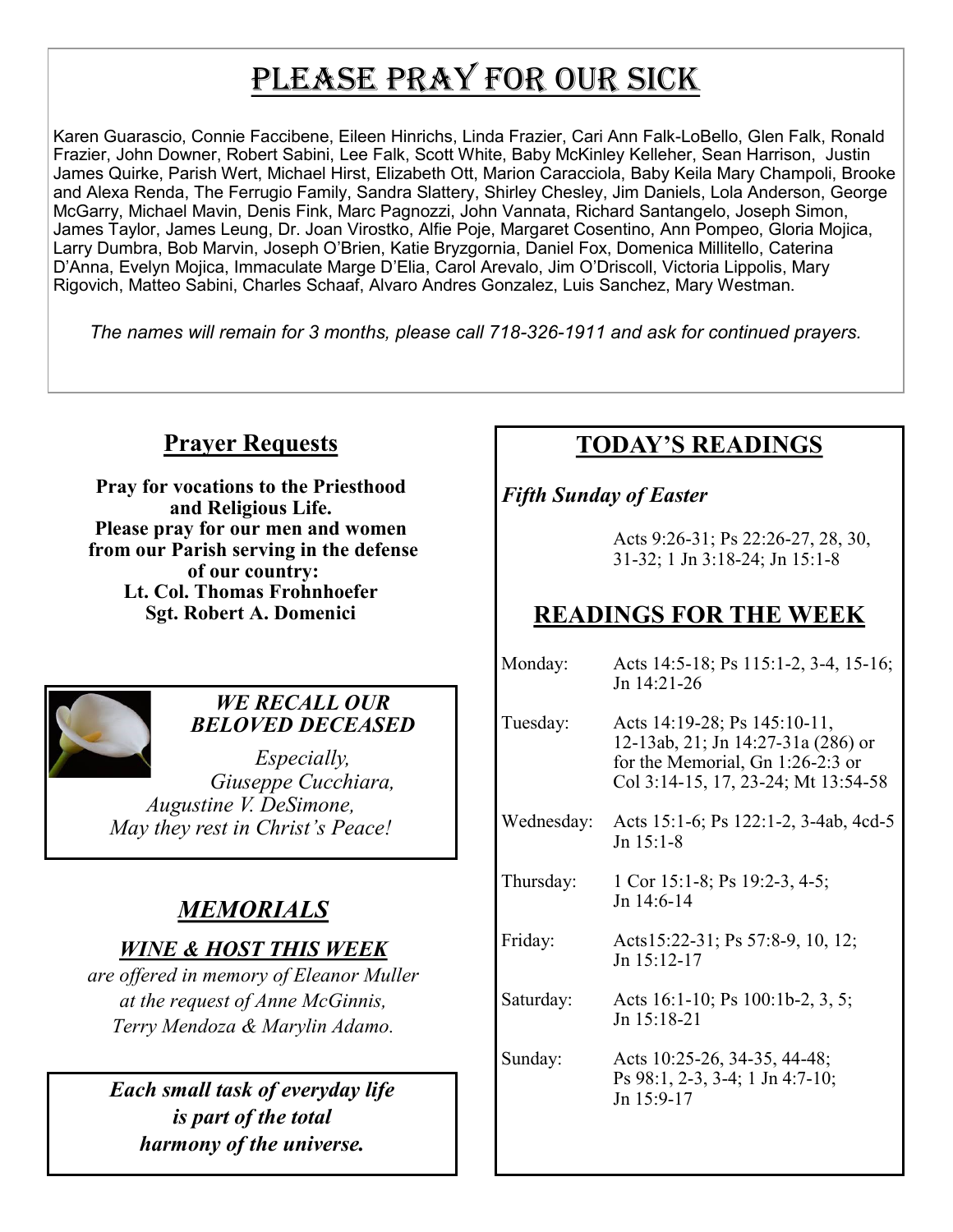# PLEASE PRAY FOR OUR SICK

Karen Guarascio, Connie Faccibene, Eileen Hinrichs, Linda Frazier, Cari Ann Falk-LoBello, Glen Falk, Ronald Frazier, John Downer, Robert Sabini, Lee Falk, Scott White, Baby McKinley Kelleher, Sean Harrison, Justin James Quirke, Parish Wert, Michael Hirst, Elizabeth Ott, Marion Caracciola, Baby Keila Mary Champoli, Brooke and Alexa Renda, The Ferrugio Family, Sandra Slattery, Shirley Chesley, Jim Daniels, Lola Anderson, George McGarry, Michael Mavin, Denis Fink, Marc Pagnozzi, John Vannata, Richard Santangelo, Joseph Simon, James Taylor, James Leung, Dr. Joan Virostko, Alfie Poje, Margaret Cosentino, Ann Pompeo, Gloria Mojica, Larry Dumbra, Bob Marvin, Joseph O'Brien, Katie Bryzgornia, Daniel Fox, Domenica Millitello, Caterina D'Anna, Evelyn Mojica, Immaculate Marge D'Elia, Carol Arevalo, Jim O'Driscoll, Victoria Lippolis, Mary Rigovich, Matteo Sabini, Charles Schaaf, Alvaro Andres Gonzalez, Luis Sanchez, Mary Westman.

*The names will remain for 3 months, please call 718-326-1911 and ask for continued prayers.*

# **Prayer Requests**

**Pray for vocations to the Priesthood and Religious Life. Please pray for our men and women from our Parish serving in the defense of our country: Lt. Col. Thomas Frohnhoefer Sgt. Robert A. Domenici** 



# *WE RECALL OUR BELOVED DECEASED*

*Especially, Giuseppe Cucchiara, Augustine V. DeSimone, May they rest in Christ's Peace!*

# *MEMORIALS*

# *WINE & HOST THIS WEEK*

*are offered in memory of Eleanor Muller at the request of Anne McGinnis, Terry Mendoza & Marylin Adamo.* 

*Each small task of everyday life is part of the total harmony of the universe.*

# **TODAY'S READINGS**

*Fifth Sunday of Easter*

Acts 9:26-31; Ps 22:26-27, 28, 30, 31-32; 1 Jn 3:18-24; Jn 15:1-8

# **READINGS FOR THE WEEK**

| Monday:    | Acts 14:5-18; Ps 115:1-2, 3-4, 15-16;<br>Jn 14:21-26                                                                                          |
|------------|-----------------------------------------------------------------------------------------------------------------------------------------------|
| Tuesday:   | Acts 14:19-28; Ps 145:10-11,<br>12-13ab, 21; Jn 14:27-31a (286) or<br>for the Memorial, Gn 1:26-2:3 or<br>Col 3:14-15, 17, 23-24; Mt 13:54-58 |
| Wednesday: | Acts 15:1-6; Ps 122:1-2, 3-4ab, 4cd-5<br>Jn 15:1-8                                                                                            |
| Thursday:  | 1 Cor 15:1-8; Ps 19:2-3, 4-5;<br>Jn 14:6-14                                                                                                   |
| Friday:    | Acts15:22-31; Ps 57:8-9, 10, 12;<br>$Jn$ 15:12-17                                                                                             |
| Saturday:  | Acts 16:1-10; Ps 100:1b-2, 3, 5;<br>$Jn$ 15:18-21                                                                                             |
| Sunday:    | Acts 10:25-26, 34-35, 44-48;<br>Ps 98:1, 2-3, 3-4; 1 Jn 4:7-10;<br>Jn 15:9-17                                                                 |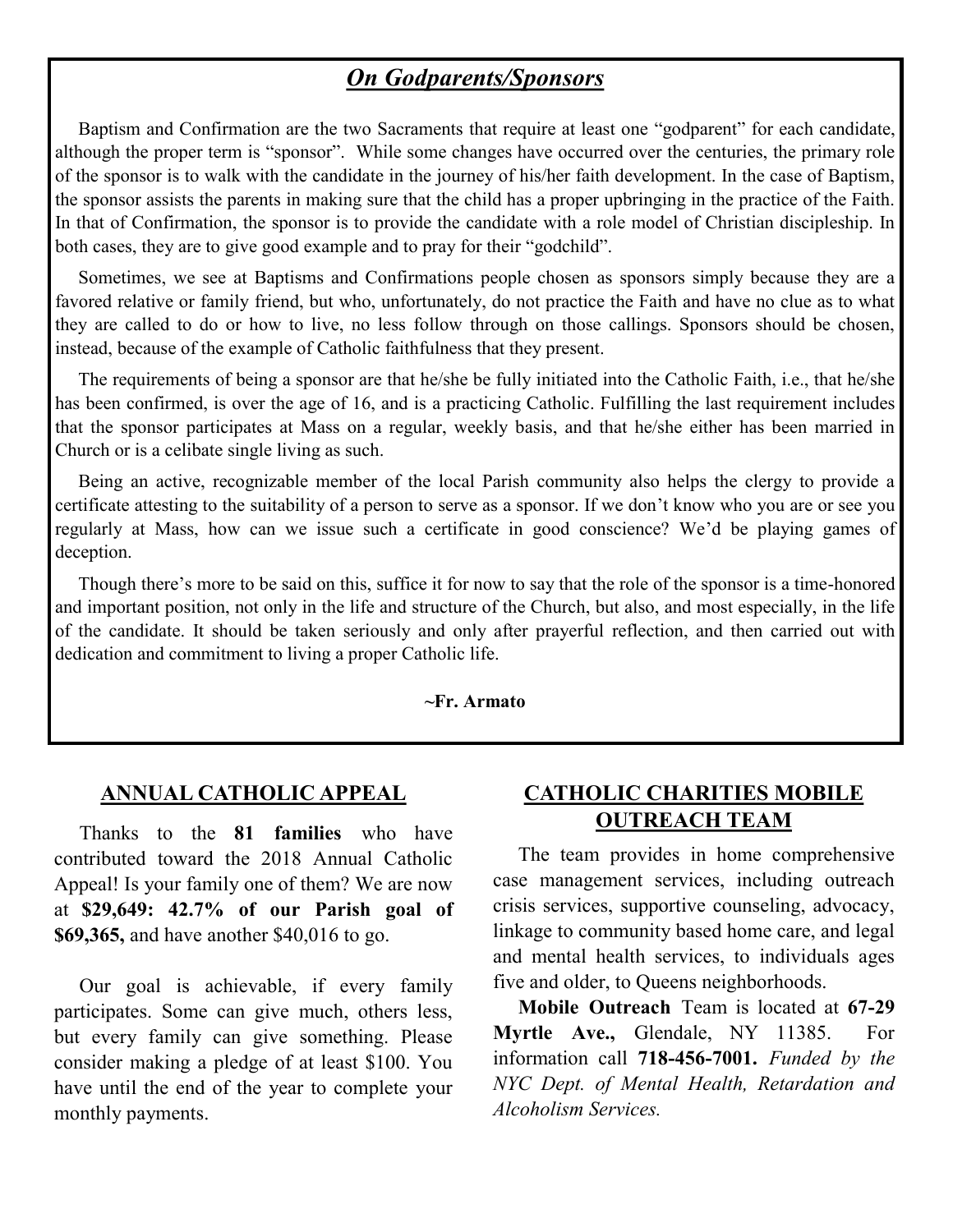# *On Godparents/Sponsors*

 Baptism and Confirmation are the two Sacraments that require at least one "godparent" for each candidate, although the proper term is "sponsor". While some changes have occurred over the centuries, the primary role of the sponsor is to walk with the candidate in the journey of his/her faith development. In the case of Baptism, the sponsor assists the parents in making sure that the child has a proper upbringing in the practice of the Faith. In that of Confirmation, the sponsor is to provide the candidate with a role model of Christian discipleship. In both cases, they are to give good example and to pray for their "godchild".

 Sometimes, we see at Baptisms and Confirmations people chosen as sponsors simply because they are a favored relative or family friend, but who, unfortunately, do not practice the Faith and have no clue as to what they are called to do or how to live, no less follow through on those callings. Sponsors should be chosen, instead, because of the example of Catholic faithfulness that they present.

 The requirements of being a sponsor are that he/she be fully initiated into the Catholic Faith, i.e., that he/she has been confirmed, is over the age of 16, and is a practicing Catholic. Fulfilling the last requirement includes that the sponsor participates at Mass on a regular, weekly basis, and that he/she either has been married in Church or is a celibate single living as such.

 Being an active, recognizable member of the local Parish community also helps the clergy to provide a certificate attesting to the suitability of a person to serve as a sponsor. If we don't know who you are or see you regularly at Mass, how can we issue such a certificate in good conscience? We'd be playing games of deception.

 Though there's more to be said on this, suffice it for now to say that the role of the sponsor is a time-honored and important position, not only in the life and structure of the Church, but also, and most especially, in the life of the candidate. It should be taken seriously and only after prayerful reflection, and then carried out with dedication and commitment to living a proper Catholic life.

#### **~Fr. Armato**

#### **ANNUAL CATHOLIC APPEAL**

 Thanks to the **81 families** who have contributed toward the 2018 Annual Catholic Appeal! Is your family one of them? We are now at **\$29,649: 42.7% of our Parish goal of \$69,365,** and have another \$40,016 to go.

 Our goal is achievable, if every family participates. Some can give much, others less, but every family can give something. Please consider making a pledge of at least \$100. You have until the end of the year to complete your monthly payments.

#### **CATHOLIC CHARITIES MOBILE OUTREACH TEAM**

 The team provides in home comprehensive case management services, including outreach crisis services, supportive counseling, advocacy, linkage to community based home care, and legal and mental health services, to individuals ages five and older, to Queens neighborhoods.

 **Mobile Outreach** Team is located at **67-29 Myrtle Ave.,** Glendale, NY 11385. For information call **718-456-7001.** *Funded by the NYC Dept. of Mental Health, Retardation and Alcoholism Services.*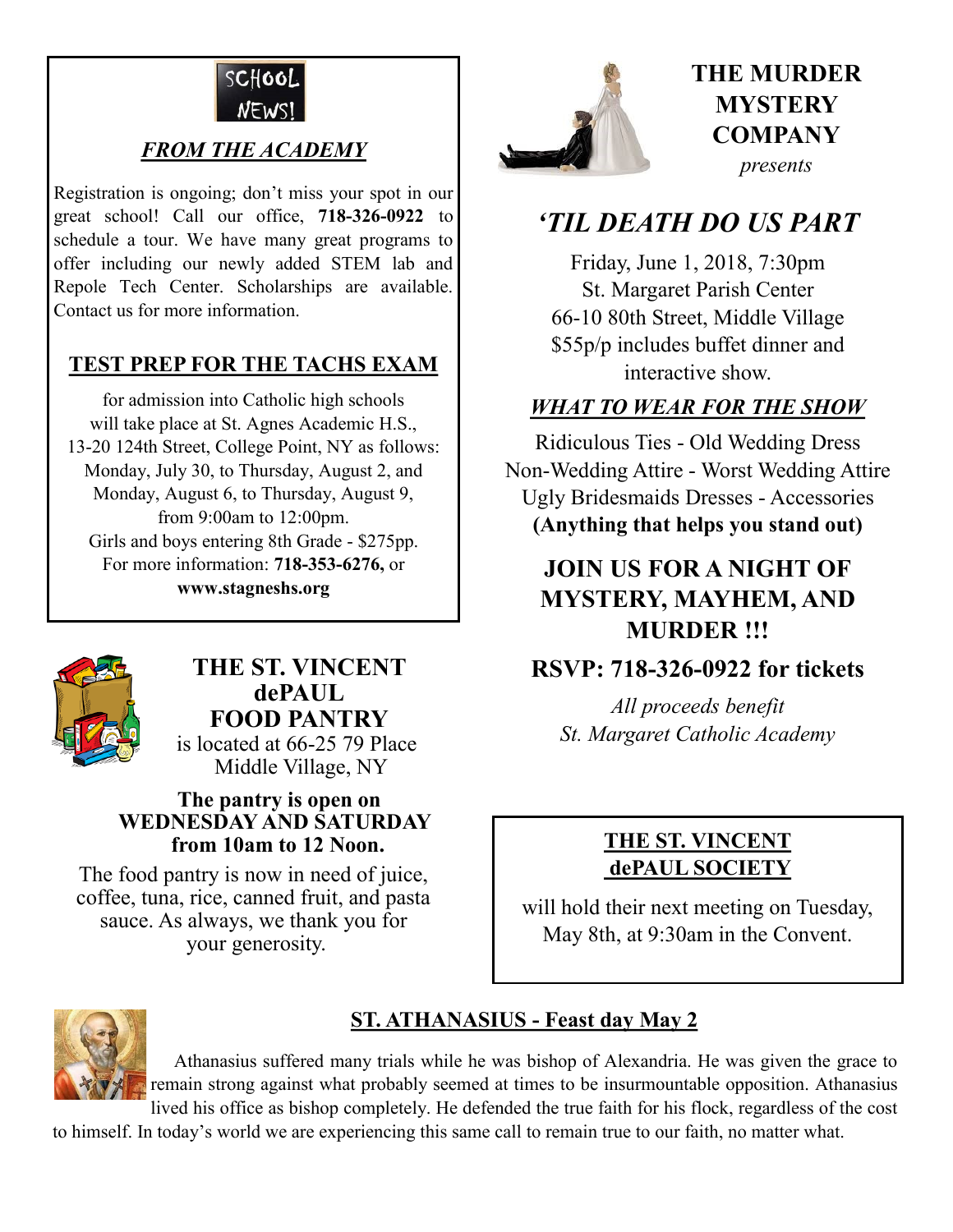

# *FROM THE ACADEMY*

Registration is ongoing; don't miss your spot in our great school! Call our office, **718-326-0922** to schedule a tour. We have many great programs to offer including our newly added STEM lab and Repole Tech Center. Scholarships are available. Contact us for more information.

### **TEST PREP FOR THE TACHS EXAM**

for admission into Catholic high schools will take place at St. Agnes Academic H.S., 13-20 124th Street, College Point, NY as follows: Monday, July 30, to Thursday, August 2, and Monday, August 6, to Thursday, August 9, from 9:00am to 12:00pm. Girls and boys entering 8th Grade - \$275pp. For more information: **718-353-6276,** or **www.stagneshs.org**



# **THE ST. VINCENT dePAUL FOOD PANTRY**

 is located at 66-25 79 Place Middle Village, NY

#### **The pantry is open on WEDNESDAY AND SATURDAY from 10am to 12 Noon.**

The food pantry is now in need of juice. coffee, tuna, rice, canned fruit, and pasta sauce. As always, we thank you for your generosity.



# **THE MURDER MYSTERY COMPANY** *presents*

# *'TIL DEATH DO US PART*

Friday, June 1, 2018, 7:30pm St. Margaret Parish Center 66-10 80th Street, Middle Village \$55p/p includes buffet dinner and interactive show.

# *WHAT TO WEAR FOR THE SHOW*

Ridiculous Ties - Old Wedding Dress Non-Wedding Attire - Worst Wedding Attire Ugly Bridesmaids Dresses - Accessories **(Anything that helps you stand out)**

# **JOIN US FOR A NIGHT OF MYSTERY, MAYHEM, AND MURDER !!!**

# **RSVP: 718-326-0922 for tickets**

*All proceeds benefit St. Margaret Catholic Academy* 

# **THE ST. VINCENT dePAUL SOCIETY**

will hold their next meeting on Tuesday, May 8th, at 9:30am in the Convent.



# **ST. ATHANASIUS - Feast day May 2**

 Athanasius suffered many trials while he was bishop of Alexandria. He was given the grace to remain strong against what probably seemed at times to be insurmountable opposition. Athanasius lived his office as bishop completely. He defended the true faith for his flock, regardless of the cost

to himself. In today's world we are experiencing this same call to remain true to our faith, no matter what.